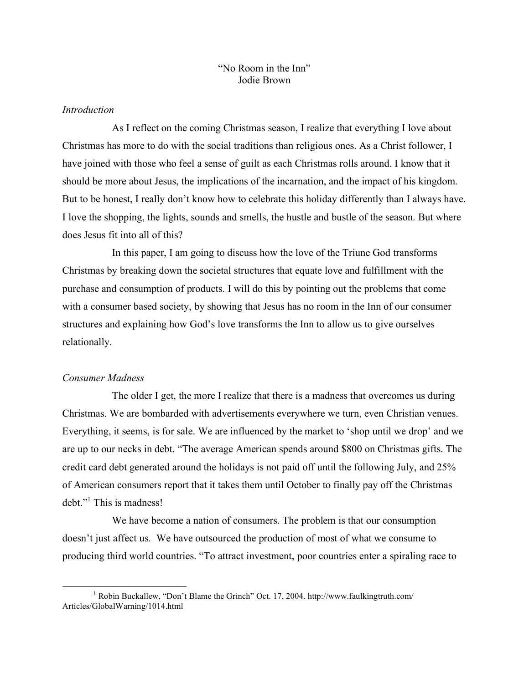## "No Room in the Inn" Jodie Brown

## *Introduction*

As I reflect on the coming Christmas season, I realize that everything I love about Christmas has more to do with the social traditions than religious ones. As a Christ follower, I have joined with those who feel a sense of guilt as each Christmas rolls around. I know that it should be more about Jesus, the implications of the incarnation, and the impact of his kingdom. But to be honest, I really don't know how to celebrate this holiday differently than I always have. I love the shopping, the lights, sounds and smells, the hustle and bustle of the season. But where does Jesus fit into all of this?

In this paper, I am going to discuss how the love of the Triune God transforms Christmas by breaking down the societal structures that equate love and fulfillment with the purchase and consumption of products. I will do this by pointing out the problems that come with a consumer based society, by showing that Jesus has no room in the Inn of our consumer structures and explaining how God's love transforms the Inn to allow us to give ourselves relationally.

#### *Consumer Madness*

The older I get, the more I realize that there is a madness that overcomes us during Christmas. We are bombarded with advertisements everywhere we turn, even Christian venues. Everything, it seems, is for sale. We are influenced by the market to 'shop until we drop' and we are up to our necks in debt. "The average American spends around \$800 on Christmas gifts. The credit card debt generated around the holidays is not paid off until the following July, and 25% of American consumers report that it takes them until October to finally pay off the Christmas debt."<sup>1</sup> This is madness!

We have become a nation of consumers. The problem is that our consumption doesn't just affect us. We have outsourced the production of most of what we consume to producing third world countries. "To attract investment, poor countries enter a spiraling race to

 <sup>1</sup> Robin Buckallew, "Don't Blame the Grinch" Oct. 17, 2004. http://www.faulkingtruth.com/ Articles/GlobalWarning/1014.html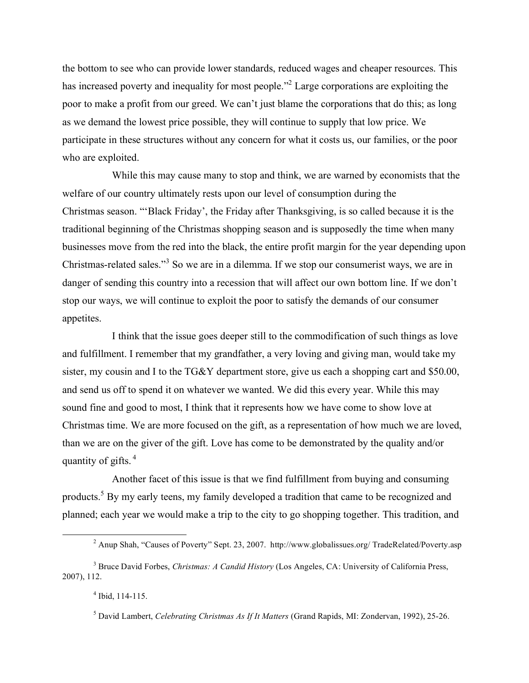the bottom to see who can provide lower standards, reduced wages and cheaper resources. This has increased poverty and inequality for most people.<sup>32</sup> Large corporations are exploiting the poor to make a profit from our greed. We can't just blame the corporations that do this; as long as we demand the lowest price possible, they will continue to supply that low price. We participate in these structures without any concern for what it costs us, our families, or the poor who are exploited.

While this may cause many to stop and think, we are warned by economists that the welfare of our country ultimately rests upon our level of consumption during the Christmas season. "'Black Friday', the Friday after Thanksgiving, is so called because it is the traditional beginning of the Christmas shopping season and is supposedly the time when many businesses move from the red into the black, the entire profit margin for the year depending upon Christmas-related sales."<sup>3</sup> So we are in a dilemma. If we stop our consumerist ways, we are in danger of sending this country into a recession that will affect our own bottom line. If we don't stop our ways, we will continue to exploit the poor to satisfy the demands of our consumer appetites.

I think that the issue goes deeper still to the commodification of such things as love and fulfillment. I remember that my grandfather, a very loving and giving man, would take my sister, my cousin and I to the TG&Y department store, give us each a shopping cart and \$50.00, and send us off to spend it on whatever we wanted. We did this every year. While this may sound fine and good to most, I think that it represents how we have come to show love at Christmas time. We are more focused on the gift, as a representation of how much we are loved, than we are on the giver of the gift. Love has come to be demonstrated by the quality and/or quantity of gifts.<sup>4</sup>

Another facet of this issue is that we find fulfillment from buying and consuming products.<sup>5</sup> By my early teens, my family developed a tradition that came to be recognized and planned; each year we would make a trip to the city to go shopping together. This tradition, and

 <sup>2</sup> Anup Shah, "Causes of Poverty" Sept. 23, 2007. http://www.globalissues.org/ TradeRelated/Poverty.asp

<sup>3</sup> Bruce David Forbes, *Christmas: A Candid History* (Los Angeles, CA: University of California Press, 2007), 112.

 $4$  Ibid, 114-115.

<sup>5</sup> David Lambert, *Celebrating Christmas As If It Matters* (Grand Rapids, MI: Zondervan, 1992), 25-26.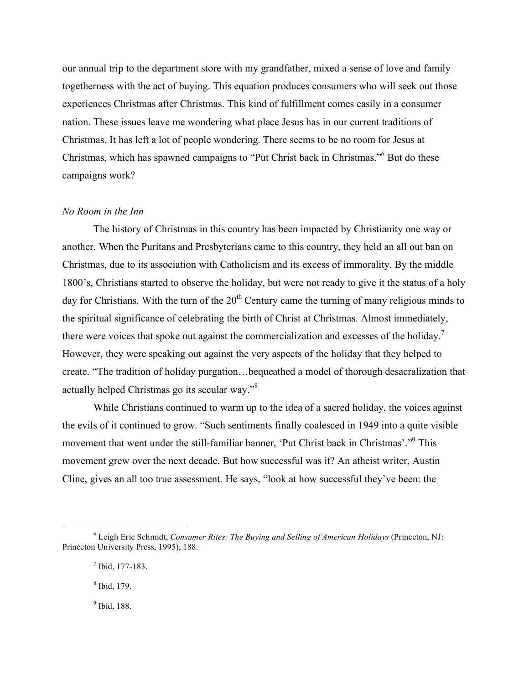our annual trip to the department store with my grandfather, mixed a sense of love and family togetherness with the act of buying. This equation produces consumers who will seek out those experiences Christmas after Christmas. This kind of fulfillment comes easily in a consumer nation. These issues leave me wondering what place Jesus has in our current traditions of Christmas. It has left a lot of people wondering. There seems to be no room for Jesus at Christmas, which has spawned campaigns to "Put Christ back in Christmas." <sup>6</sup> But do these campaigns work?

### *No Room in the Inn*

The history of Christmas in this country has been impacted by Christianity one way or another. When the Puritans and Presbyterians came to this country, they held an all out ban on Christmas, due to its association with Catholicism and its excess of immorality. By the middle 1800's, Christians started to observe the holiday, but were not ready to give it the status of a holy day for Christians. With the turn of the  $20<sup>th</sup>$  Century came the turning of many religious minds to the spiritual significance of celebrating the birth of Christ at Christmas. Almost immediately, there were voices that spoke out against the commercialization and excesses of the holiday.<sup>7</sup> However, they were speaking out against the very aspects of the holiday that they helped to create. "The tradition of holiday purgation…bequeathed a model of thorough desacralization that actually helped Christmas go its secular way."<sup>8</sup>

While Christians continued to warm up to the idea of a sacred holiday, the voices against the evils of it continued to grow. "Such sentiments finally coalesced in 1949 into a quite visible movement that went under the still-familiar banner, 'Put Christ back in Christmas'."<sup>9</sup> This movement grew over the next decade. But how successful was it? An atheist writer, Austin Cline, gives an all too true assessment. He says, "look at how successful they've been: the

<sup>9</sup> Ibid, 188.

 <sup>6</sup> Leigh Eric Schmidt, *Consumer Rites: The Buying and Selling of American Holidays* (Princeton, NJ: Princeton University Press, 1995), 188.

<sup>7</sup> Ibid, 177-183.

<sup>8</sup> Ibid, 179.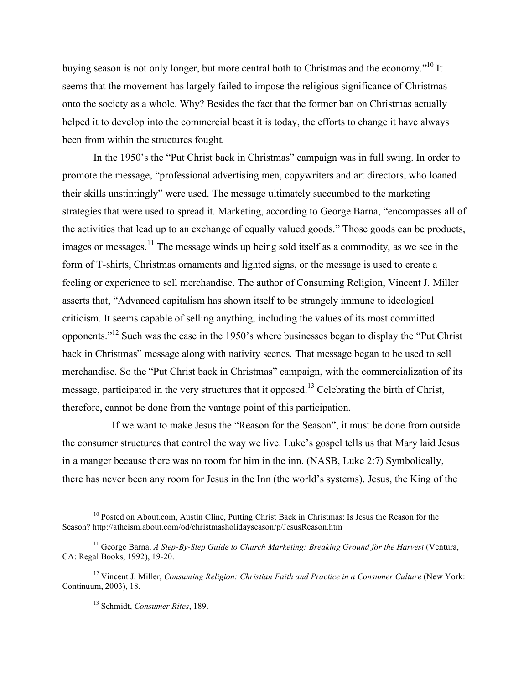buying season is not only longer, but more central both to Christmas and the economy."<sup>10</sup> It seems that the movement has largely failed to impose the religious significance of Christmas onto the society as a whole. Why? Besides the fact that the former ban on Christmas actually helped it to develop into the commercial beast it is today, the efforts to change it have always been from within the structures fought.

In the 1950's the "Put Christ back in Christmas" campaign was in full swing. In order to promote the message, "professional advertising men, copywriters and art directors, who loaned their skills unstintingly" were used. The message ultimately succumbed to the marketing strategies that were used to spread it. Marketing, according to George Barna, "encompasses all of the activities that lead up to an exchange of equally valued goods." Those goods can be products, images or messages.<sup>11</sup> The message winds up being sold itself as a commodity, as we see in the form of T-shirts, Christmas ornaments and lighted signs, or the message is used to create a feeling or experience to sell merchandise. The author of Consuming Religion, Vincent J. Miller asserts that, "Advanced capitalism has shown itself to be strangely immune to ideological criticism. It seems capable of selling anything, including the values of its most committed opponents."<sup>12</sup> Such was the case in the 1950's where businesses began to display the "Put Christ" back in Christmas" message along with nativity scenes. That message began to be used to sell merchandise. So the "Put Christ back in Christmas" campaign, with the commercialization of its message, participated in the very structures that it opposed.<sup>13</sup> Celebrating the birth of Christ, therefore, cannot be done from the vantage point of this participation.

If we want to make Jesus the "Reason for the Season", it must be done from outside the consumer structures that control the way we live. Luke's gospel tells us that Mary laid Jesus in a manger because there was no room for him in the inn. (NASB, Luke 2:7) Symbolically, there has never been any room for Jesus in the Inn (the world's systems). Jesus, the King of the

<sup>&</sup>lt;sup>10</sup> Posted on About.com, Austin Cline, Putting Christ Back in Christmas: Is Jesus the Reason for the Season? http://atheism.about.com/od/christmasholidayseason/p/JesusReason.htm

<sup>11</sup> George Barna, *A Step-By-Step Guide to Church Marketing: Breaking Ground for the Harvest* (Ventura, CA: Regal Books, 1992), 19-20.

<sup>12</sup> Vincent J. Miller, *Consuming Religion: Christian Faith and Practice in a Consumer Culture* (New York: Continuum, 2003), 18.

<sup>13</sup> Schmidt, *Consumer Rites*, 189.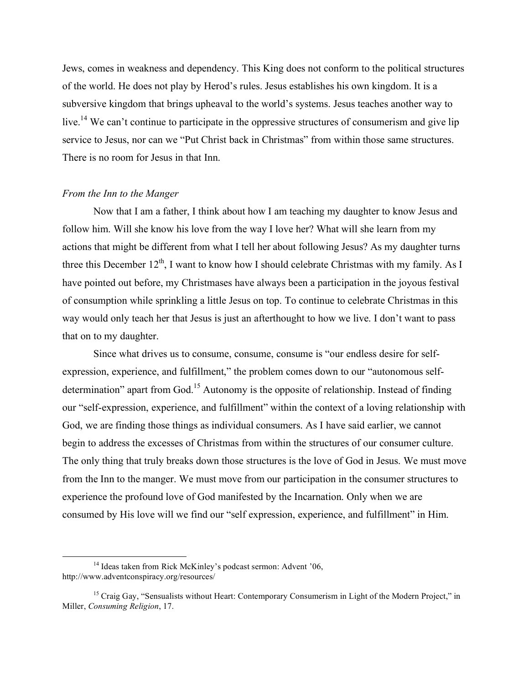Jews, comes in weakness and dependency. This King does not conform to the political structures of the world. He does not play by Herod's rules. Jesus establishes his own kingdom. It is a subversive kingdom that brings upheaval to the world's systems. Jesus teaches another way to live.<sup>14</sup> We can't continue to participate in the oppressive structures of consumerism and give lip service to Jesus, nor can we "Put Christ back in Christmas" from within those same structures. There is no room for Jesus in that Inn.

#### *From the Inn to the Manger*

Now that I am a father, I think about how I am teaching my daughter to know Jesus and follow him. Will she know his love from the way I love her? What will she learn from my actions that might be different from what I tell her about following Jesus? As my daughter turns three this December  $12^{th}$ , I want to know how I should celebrate Christmas with my family. As I have pointed out before, my Christmases have always been a participation in the joyous festival of consumption while sprinkling a little Jesus on top. To continue to celebrate Christmas in this way would only teach her that Jesus is just an afterthought to how we live. I don't want to pass that on to my daughter.

Since what drives us to consume, consume, consume is "our endless desire for selfexpression, experience, and fulfillment," the problem comes down to our "autonomous selfdetermination" apart from God.<sup>15</sup> Autonomy is the opposite of relationship. Instead of finding our "self-expression, experience, and fulfillment" within the context of a loving relationship with God, we are finding those things as individual consumers. As I have said earlier, we cannot begin to address the excesses of Christmas from within the structures of our consumer culture. The only thing that truly breaks down those structures is the love of God in Jesus. We must move from the Inn to the manger. We must move from our participation in the consumer structures to experience the profound love of God manifested by the Incarnation. Only when we are consumed by His love will we find our "self expression, experience, and fulfillment" in Him.

<sup>&</sup>lt;sup>14</sup> Ideas taken from Rick McKinley's podcast sermon: Advent '06, http://www.adventconspiracy.org/resources/

<sup>&</sup>lt;sup>15</sup> Craig Gay, "Sensualists without Heart: Contemporary Consumerism in Light of the Modern Project," in Miller, *Consuming Religion*, 17.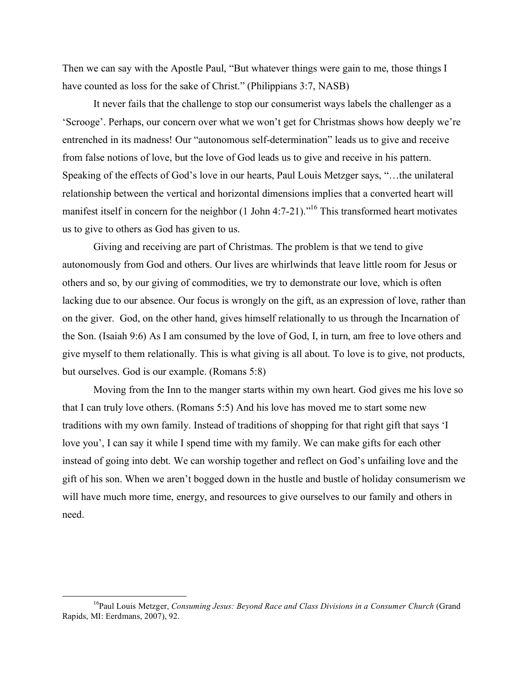Then we can say with the Apostle Paul, "But whatever things were gain to me, those things I have counted as loss for the sake of Christ." (Philippians 3:7, NASB)

It never fails that the challenge to stop our consumerist ways labels the challenger as a 'Scrooge'. Perhaps, our concern over what we won't get for Christmas shows how deeply we're entrenched in its madness! Our "autonomous self-determination" leads us to give and receive from false notions of love, but the love of God leads us to give and receive in his pattern. Speaking of the effects of God's love in our hearts, Paul Louis Metzger says, "…the unilateral relationship between the vertical and horizontal dimensions implies that a converted heart will manifest itself in concern for the neighbor  $(1 \text{ John } 4:7-21)$ ."<sup>16</sup> This transformed heart motivates us to give to others as God has given to us.

Giving and receiving are part of Christmas. The problem is that we tend to give autonomously from God and others. Our lives are whirlwinds that leave little room for Jesus or others and so, by our giving of commodities, we try to demonstrate our love, which is often lacking due to our absence. Our focus is wrongly on the gift, as an expression of love, rather than on the giver. God, on the other hand, gives himself relationally to us through the Incarnation of the Son. (Isaiah 9:6) As I am consumed by the love of God, I, in turn, am free to love others and give myself to them relationally. This is what giving is all about. To love is to give, not products, but ourselves. God is our example. (Romans 5:8)

Moving from the Inn to the manger starts within my own heart. God gives me his love so that I can truly love others. (Romans 5:5) And his love has moved me to start some new traditions with my own family. Instead of traditions of shopping for that right gift that says 'I love you', I can say it while I spend time with my family. We can make gifts for each other instead of going into debt. We can worship together and reflect on God's unfailing love and the gift of his son. When we aren't bogged down in the hustle and bustle of holiday consumerism we will have much more time, energy, and resources to give ourselves to our family and others in need.

 <sup>16</sup> Paul Louis Metzger, *Consuming Jesus: Beyond Race and Class Divisions in a Consumer Church* (Grand Rapids, MI: Eerdmans, 2007), 92.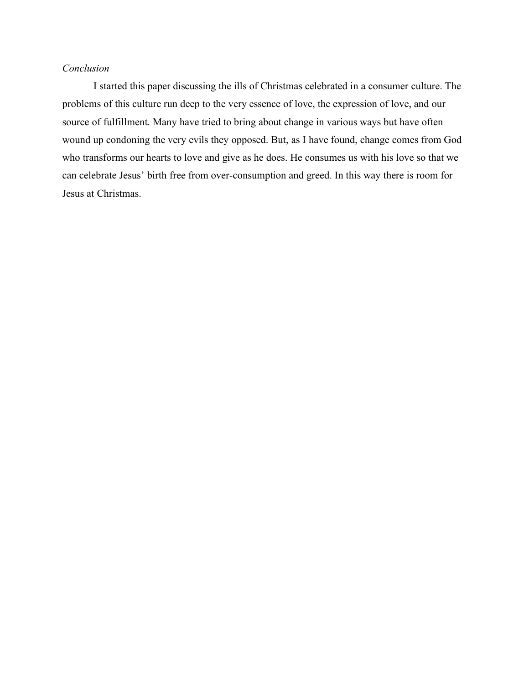# *Conclusion*

I started this paper discussing the ills of Christmas celebrated in a consumer culture. The problems of this culture run deep to the very essence of love, the expression of love, and our source of fulfillment. Many have tried to bring about change in various ways but have often wound up condoning the very evils they opposed. But, as I have found, change comes from God who transforms our hearts to love and give as he does. He consumes us with his love so that we can celebrate Jesus' birth free from over-consumption and greed. In this way there is room for Jesus at Christmas.